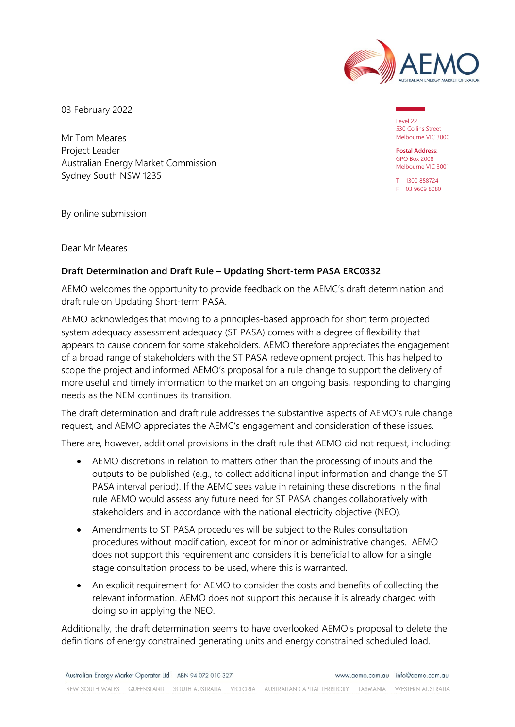

03 February 2022

Mr Tom Meares Project Leader Australian Energy Market Commission Sydney South NSW 1235

Level 22 530 Collins Street Melbourne VIC 3000

**Postal Address:** GPO Box 2008 Melbourne VIC 3001

T 1300 858724 F 03 9609 8080

By online submission

Dear Mr Meares

## **Draft Determination and Draft Rule – Updating Short-term PASA ERC0332**

AEMO welcomes the opportunity to provide feedback on the AEMC's draft determination and draft rule on Updating Short-term PASA.

AEMO acknowledges that moving to a principles-based approach for short term projected system adequacy assessment adequacy (ST PASA) comes with a degree of flexibility that appears to cause concern for some stakeholders. AEMO therefore appreciates the engagement of a broad range of stakeholders with the ST PASA redevelopment project. This has helped to scope the project and informed AEMO's proposal for a rule change to support the delivery of more useful and timely information to the market on an ongoing basis, responding to changing needs as the NEM continues its transition.

The draft determination and draft rule addresses the substantive aspects of AEMO's rule change request, and AEMO appreciates the AEMC's engagement and consideration of these issues.

There are, however, additional provisions in the draft rule that AEMO did not request, including:

- AEMO discretions in relation to matters other than the processing of inputs and the outputs to be published (e.g., to collect additional input information and change the ST PASA interval period). If the AEMC sees value in retaining these discretions in the final rule AEMO would assess any future need for ST PASA changes collaboratively with stakeholders and in accordance with the national electricity objective (NEO).
- Amendments to ST PASA procedures will be subject to the Rules consultation procedures without modification, except for minor or administrative changes. AEMO does not support this requirement and considers it is beneficial to allow for a single stage consultation process to be used, where this is warranted.
- An explicit requirement for AEMO to consider the costs and benefits of collecting the relevant information. AEMO does not support this because it is already charged with doing so in applying the NEO.

Additionally, the draft determination seems to have overlooked AEMO's proposal to delete the definitions of energy constrained generating units and energy constrained scheduled load.

Australian Energy Market Operator Ltd ABN 94 072 010 327 www.gemo.com.gu info@gemo.com.gu

NEW SOUTH WALES QUEENSLAND SOUTH AUSTRALIA VICTORIA AUSTRALIAN CAPITAL TERRITORY TASMANIA WESTERN ALISTRALIA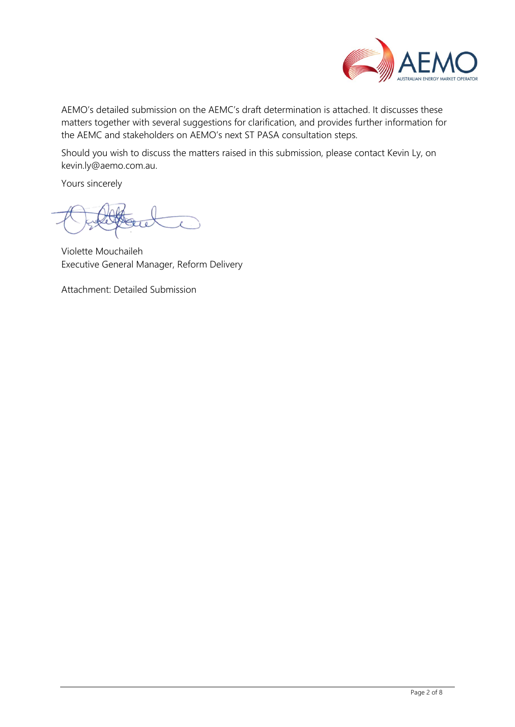

AEMO's detailed submission on the AEMC's draft determination is attached. It discusses these matters together with several suggestions for clarification, and provides further information for the AEMC and stakeholders on AEMO's next ST PASA consultation steps.

Should you wish to discuss the matters raised in this submission, please contact Kevin Ly, on [kevin.ly@aemo.com.au.](mailto:kevin.ly@aemo.com.au) 

Yours sincerely

Violette Mouchaileh Executive General Manager, Reform Delivery

Attachment: Detailed Submission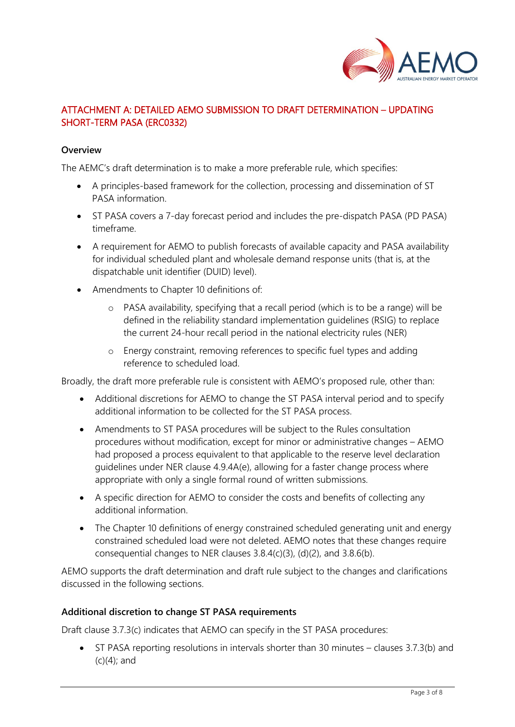

# ATTACHMENT A: DETAILED AEMO SUBMISSION TO DRAFT DETERMINATION – UPDATING SHORT-TERM PASA (ERC0332)

#### **Overview**

The AEMC's draft determination is to make a more preferable rule, which specifies:

- A principles-based framework for the collection, processing and dissemination of ST PASA information.
- ST PASA covers a 7-day forecast period and includes the pre-dispatch PASA (PD PASA) timeframe.
- A requirement for AEMO to publish forecasts of available capacity and PASA availability for individual scheduled plant and wholesale demand response units (that is, at the dispatchable unit identifier (DUID) level).
- Amendments to Chapter 10 definitions of:
	- o PASA availability, specifying that a recall period (which is to be a range) will be defined in the reliability standard implementation guidelines (RSIG) to replace the current 24-hour recall period in the national electricity rules (NER)
	- o Energy constraint, removing references to specific fuel types and adding reference to scheduled load.

Broadly, the draft more preferable rule is consistent with AEMO's proposed rule, other than:

- Additional discretions for AEMO to change the ST PASA interval period and to specify additional information to be collected for the ST PASA process.
- Amendments to ST PASA procedures will be subject to the Rules consultation procedures without modification, except for minor or administrative changes – AEMO had proposed a process equivalent to that applicable to the reserve level declaration guidelines under NER clause 4.9.4A(e), allowing for a faster change process where appropriate with only a single formal round of written submissions.
- A specific direction for AEMO to consider the costs and benefits of collecting any additional information.
- The Chapter 10 definitions of energy constrained scheduled generating unit and energy constrained scheduled load were not deleted. AEMO notes that these changes require consequential changes to NER clauses 3.8.4(c)(3), (d)(2), and 3.8.6(b).

AEMO supports the draft determination and draft rule subject to the changes and clarifications discussed in the following sections.

#### **Additional discretion to change ST PASA requirements**

Draft clause 3.7.3(c) indicates that AEMO can specify in the ST PASA procedures:

• ST PASA reporting resolutions in intervals shorter than 30 minutes – clauses 3.7.3(b) and (c)(4); and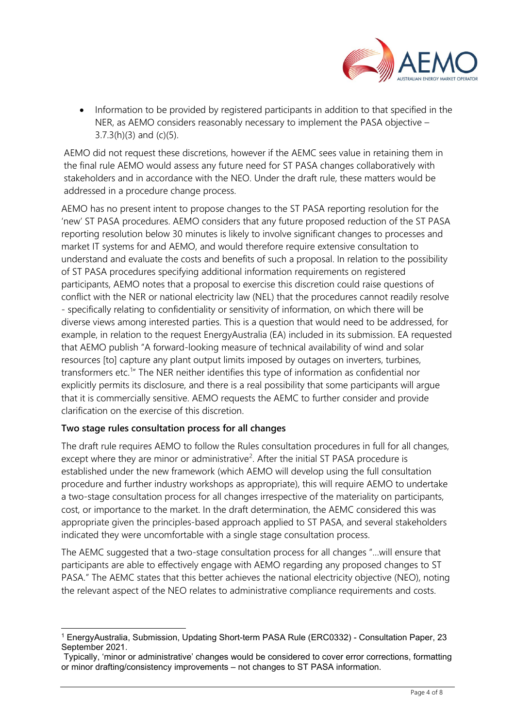

• Information to be provided by registered participants in addition to that specified in the NER, as AEMO considers reasonably necessary to implement the PASA objective –  $3.7.3(h)(3)$  and (c)(5).

AEMO did not request these discretions, however if the AEMC sees value in retaining them in the final rule AEMO would assess any future need for ST PASA changes collaboratively with stakeholders and in accordance with the NEO. Under the draft rule, these matters would be addressed in a procedure change process.

AEMO has no present intent to propose changes to the ST PASA reporting resolution for the 'new' ST PASA procedures. AEMO considers that any future proposed reduction of the ST PASA reporting resolution below 30 minutes is likely to involve significant changes to processes and market IT systems for and AEMO, and would therefore require extensive consultation to understand and evaluate the costs and benefits of such a proposal. In relation to the possibility of ST PASA procedures specifying additional information requirements on registered participants, AEMO notes that a proposal to exercise this discretion could raise questions of conflict with the NER or national electricity law (NEL) that the procedures cannot readily resolve - specifically relating to confidentiality or sensitivity of information, on which there will be diverse views among interested parties. This is a question that would need to be addressed, for example, in relation to the request EnergyAustralia (EA) included in its submission. EA requested that AEMO publish "A forward-looking measure of technical availability of wind and solar resources [to] capture any plant output limits imposed by outages on inverters, turbines, transformers etc.<sup>[1](#page-3-0)</sup>" The NER neither identifies this type of information as confidential nor explicitly permits its disclosure, and there is a real possibility that some participants will argue that it is commercially sensitive. AEMO requests the AEMC to further consider and provide clarification on the exercise of this discretion.

## **Two stage rules consultation process for all changes**

The draft rule requires AEMO to follow the Rules consultation procedures in full for all changes, except where they are minor or administrative<sup>[2](#page-3-1)</sup>. After the initial ST PASA procedure is established under the new framework (which AEMO will develop using the full consultation procedure and further industry workshops as appropriate), this will require AEMO to undertake a two-stage consultation process for all changes irrespective of the materiality on participants, cost, or importance to the market. In the draft determination, the AEMC considered this was appropriate given the principles-based approach applied to ST PASA, and several stakeholders indicated they were uncomfortable with a single stage consultation process.

The AEMC suggested that a two-stage consultation process for all changes "…will ensure that participants are able to effectively engage with AEMO regarding any proposed changes to ST PASA." The AEMC states that this better achieves the national electricity objective (NEO), noting the relevant aspect of the NEO relates to administrative compliance requirements and costs.

<span id="page-3-0"></span><sup>1</sup> EnergyAustralia, Submission, Updating Short-term PASA Rule (ERC0332) - Consultation Paper, 23 September 2021.

<span id="page-3-1"></span>Typically, 'minor or administrative' changes would be considered to cover error corrections, formatting or minor drafting/consistency improvements – not changes to ST PASA information.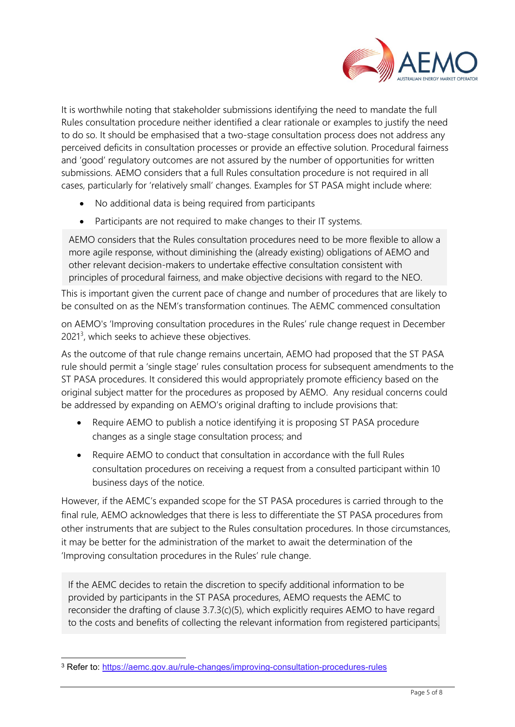

It is worthwhile noting that stakeholder submissions identifying the need to mandate the full Rules consultation procedure neither identified a clear rationale or examples to justify the need to do so. It should be emphasised that a two-stage consultation process does not address any perceived deficits in consultation processes or provide an effective solution. Procedural fairness and 'good' regulatory outcomes are not assured by the number of opportunities for written submissions. AEMO considers that a full Rules consultation procedure is not required in all cases, particularly for 'relatively small' changes. Examples for ST PASA might include where:

- No additional data is being required from participants
- Participants are not required to make changes to their IT systems.

AEMO considers that the Rules consultation procedures need to be more flexible to allow a more agile response, without diminishing the (already existing) obligations of AEMO and other relevant decision-makers to undertake effective consultation consistent with principles of procedural fairness, and make objective decisions with regard to the NEO.

This is important given the current pace of change and number of procedures that are likely to be consulted on as the NEM's transformation continues. The AEMC commenced consultation

on AEMO's 'Improving consultation procedures in the Rules' rule change request in December 2021<sup>[3](#page-4-0)</sup>, which seeks to achieve these objectives.

As the outcome of that rule change remains uncertain, AEMO had proposed that the ST PASA rule should permit a 'single stage' rules consultation process for subsequent amendments to the ST PASA procedures. It considered this would appropriately promote efficiency based on the original subject matter for the procedures as proposed by AEMO. Any residual concerns could be addressed by expanding on AEMO's original drafting to include provisions that:

- Require AEMO to publish a notice identifying it is proposing ST PASA procedure changes as a single stage consultation process; and
- Require AEMO to conduct that consultation in accordance with the full Rules consultation procedures on receiving a request from a consulted participant within 10 business days of the notice.

However, if the AEMC's expanded scope for the ST PASA procedures is carried through to the final rule, AEMO acknowledges that there is less to differentiate the ST PASA procedures from other instruments that are subject to the Rules consultation procedures. In those circumstances, it may be better for the administration of the market to await the determination of the 'Improving consultation procedures in the Rules' rule change.

provided by participants in the ST PASA procedures, AEMO requests the AEMC to If the AEMC decides to retain the discretion to specify additional information to be reconsider the drafting of clause 3.7.3(c)(5), which explicitly requires AEMO to have regard to the costs and benefits of collecting the relevant information from registered participants.

<span id="page-4-0"></span><sup>3</sup> Refer to:<https://aemc.gov.au/rule-changes/improving-consultation-procedures-rules>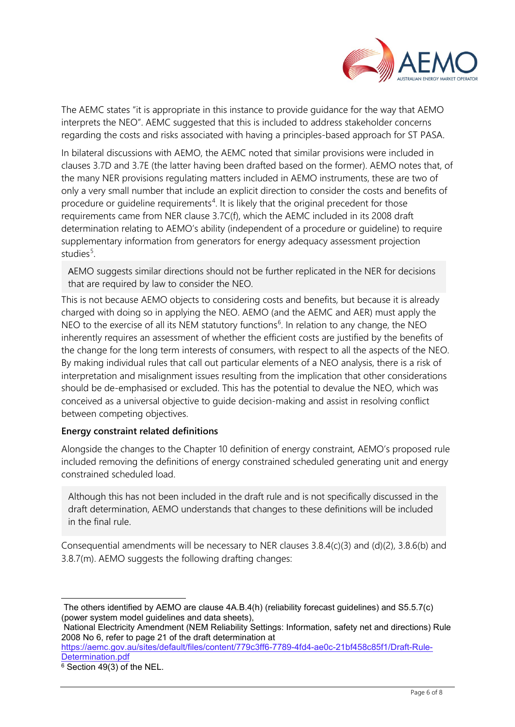

The AEMC states "it is appropriate in this instance to provide guidance for the way that AEMO interprets the NEO". AEMC suggested that this is included to address stakeholder concerns regarding the costs and risks associated with having a principles-based approach for ST PASA.

In bilateral discussions with AEMO, the AEMC noted that similar provisions were included in clauses 3.7D and 3.7E (the latter having been drafted based on the former). AEMO notes that, of the many NER provisions regulating matters included in AEMO instruments, these are two of only a very small number that include an explicit direction to consider the costs and benefits of procedure or guideline requirements<sup>[4](#page-5-0)</sup>. It is likely that the original precedent for those requirements came from NER clause 3.7C(f), which the AEMC included in its 2008 draft determination relating to AEMO's ability (independent of a procedure or guideline) to require supplementary information from generators for energy adequacy assessment projection studies<sup>[5](#page-5-1)</sup>.

AEMO suggests similar directions should not be further replicated in the NER for decisions that are required by law to consider the NEO.

This is not because AEMO objects to considering costs and benefits, but because it is already charged with doing so in applying the NEO. AEMO (and the AEMC and AER) must apply the NEO to the exercise of all its NEM statutory functions<sup>[6](#page-5-2)</sup>. In relation to any change, the NEO inherently requires an assessment of whether the efficient costs are justified by the benefits of the change for the long term interests of consumers, with respect to all the aspects of the NEO. By making individual rules that call out particular elements of a NEO analysis, there is a risk of interpretation and misalignment issues resulting from the implication that other considerations should be de-emphasised or excluded. This has the potential to devalue the NEO, which was conceived as a universal objective to guide decision-making and assist in resolving conflict between competing objectives.

#### **Energy constraint related definitions**

Alongside the changes to the Chapter 10 definition of energy constraint, AEMO's proposed rule included removing the definitions of energy constrained scheduled generating unit and energy constrained scheduled load.

Although this has not been included in the draft rule and is not specifically discussed in the draft determination, AEMO understands that changes to these definitions will be included in the final rule.

Consequential amendments will be necessary to NER clauses 3.8.4(c)(3) and (d)(2), 3.8.6(b) and 3.8.7(m). AEMO suggests the following drafting changes:

<span id="page-5-1"></span>National Electricity Amendment (NEM Reliability Settings: Information, safety net and directions) Rule 2008 No 6, refer to page 21 of the draft determination at

[https://aemc.gov.au/sites/default/files/content/779c3ff6-7789-4fd4-ae0c-21bf458c85f1/Draft-Rule-](https://aemc.gov.au/sites/default/files/content/779c3ff6-7789-4fd4-ae0c-21bf458c85f1/Draft-Rule-Determination.pdf)[Determination.pdf](https://aemc.gov.au/sites/default/files/content/779c3ff6-7789-4fd4-ae0c-21bf458c85f1/Draft-Rule-Determination.pdf)

<span id="page-5-0"></span>The others identified by AEMO are clause 4A.B.4(h) (reliability forecast guidelines) and S5.5.7(c) (power system model guidelines and data sheets),

<span id="page-5-2"></span><sup>6</sup> Section 49(3) of the NEL.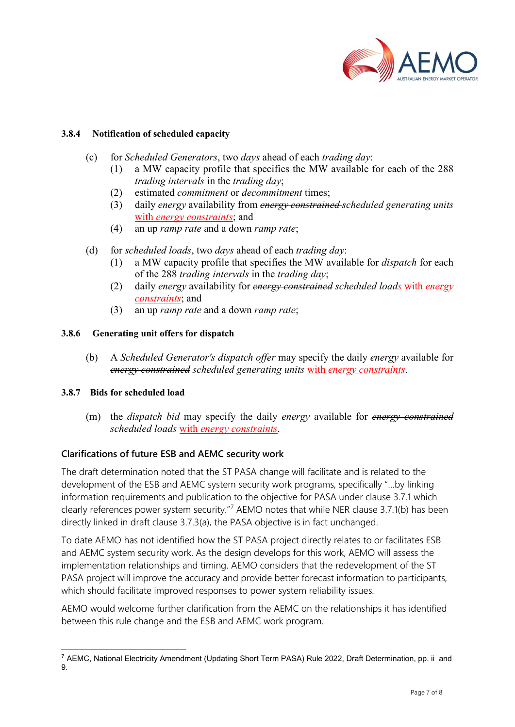

#### **3.8.4 Notification of scheduled capacity**

- (c) for *Scheduled Generators*, two *days* ahead of each *trading day*:
	- (1) a MW capacity profile that specifies the MW available for each of the 288 *trading intervals* in the *trading day*;
	- (2) estimated *commitment* or *decommitment* times;
	- (3) daily *energy* availability from *energy constrained scheduled generating units*  with *energy constraints*; and
	- (4) an up *ramp rate* and a down *ramp rate*;
- (d) for *scheduled loads*, two *days* ahead of each *trading day*:
	- (1) a MW capacity profile that specifies the MW available for *dispatch* for each of the 288 *trading intervals* in the *trading day*;
	- (2) daily *energy* availability for *energy constrained scheduled loads* with *energy constraints*; and
	- (3) an up *ramp rate* and a down *ramp rate*;

#### **3.8.6 Generating unit offers for dispatch**

(b) A *Scheduled Generator's dispatch offer* may specify the daily *energy* available for *energy constrained scheduled generating units* with *energy constraints*.

#### **3.8.7 Bids for scheduled load**

(m) the *dispatch bid* may specify the daily *energy* available for *energy constrained scheduled loads* with *energy constraints*.

## **Clarifications of future ESB and AEMC security work**

The draft determination noted that the ST PASA change will facilitate and is related to the development of the ESB and AEMC system security work programs, specifically "…by linking information requirements and publication to the objective for PASA under clause 3.7.1 which clearly references power system security."<sup>[7](#page-6-0)</sup> AEMO notes that while NER clause 3.7.1(b) has been directly linked in draft clause 3.7.3(a), the PASA objective is in fact unchanged.

To date AEMO has not identified how the ST PASA project directly relates to or facilitates ESB and AEMC system security work. As the design develops for this work, AEMO will assess the implementation relationships and timing. AEMO considers that the redevelopment of the ST PASA project will improve the accuracy and provide better forecast information to participants, which should facilitate improved responses to power system reliability issues.

AEMO would welcome further clarification from the AEMC on the relationships it has identified between this rule change and the ESB and AEMC work program.

<span id="page-6-0"></span><sup>7</sup> AEMC, National Electricity Amendment (Updating Short Term PASA) Rule 2022, Draft Determination, pp. ii and 9.